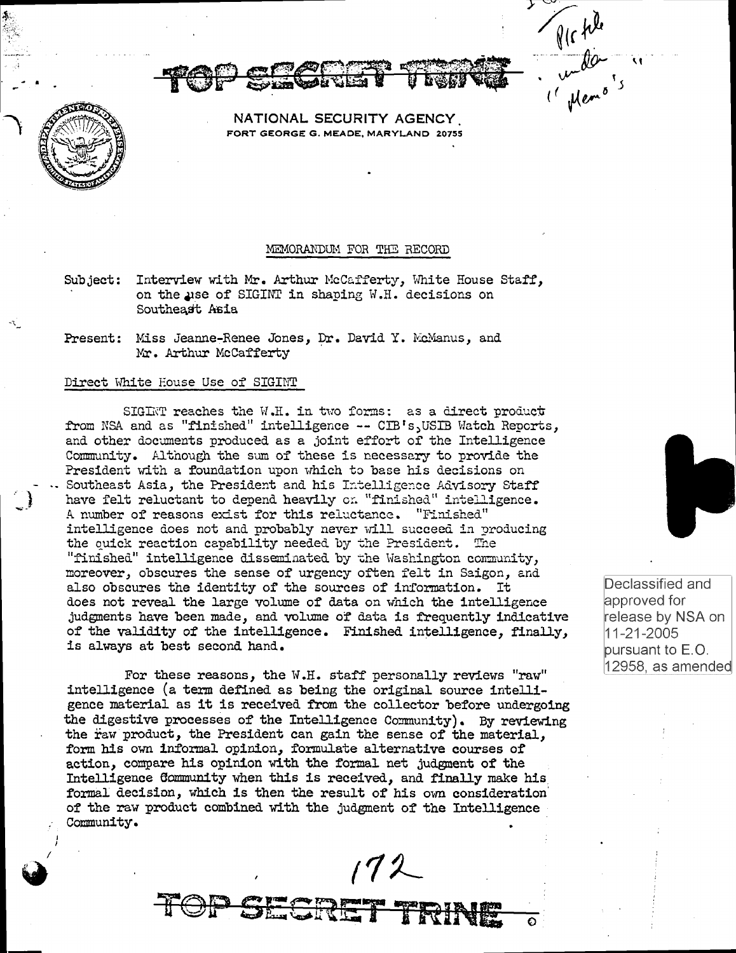Prophet<br>Comptant

NATIONAL SECURITY AGENCY FORT GEORGE G. MEADE, MARYLAND 20755

## MEMORANDUM FOR THE RECORD

- Subject: Interview with Mr. Arthur McCafferty, White House Staff, on the use of SIGINT in shaping W.H. decisions on Southeast Asia
- Present: Miss Jeanne-Renee Jones, Dr. David Y. McManus, and Mr. Arthur McCafferty

#### Direct White Eouse Use of SIGINT

<sup>~</sup>I

I  $\blacklozenge$ 

SIGINT reaches the W.H. in two forms: as a direct product from NSA and as "finished" intelligence -- CIB's, USIB Watch Reports, and other documents produced as a joint effort of the Intelligence Community. Although the sum of these is necessary to provide the President with a foundation upon which to base his decisions on Southeast Asia, the President and his Intelligence Advisory Staff have felt reluctant to depend heavily on "finished" intelligence. A number of reasons exist for this reluctance. "Finished" intelligence does not and probably never will succeed in producing the quick reaction capability needed by the President. The "finished" intelligence disseminated by the Washington community, moreover, obscures the sense of urgency often felt in Saigon, and also obscures the identity of the sources of information. It does not reveal the large volume of data on which the intelligence judgments have been made, and volume of data is frequently indicative of the validity of the intelligence. Finished intelligence, finally, is always at best second hand.

For these reasons, the W.H. staff personally reviews "raw" intelligence (a term defined as being the original source intelligence material as it is received from the collector before undergoing the digestive processes of the Intelligence Community). By reviewing the raw product, the President can gain the sense of the material, form his own informal opinion, formulate alternative courses of action, compare his opinion with the formal net judgment of the Intelligence Community when this is received, and finally make his formal decision, which is then the result of his own consideration· of the raw product combined with the judgment of the Intelligence Community.

 $172$ 

TOP SECRET TRINE 0



Declassified and approved for release by NSA on 11-21-2005 pursuant to E.O. 12958, as amended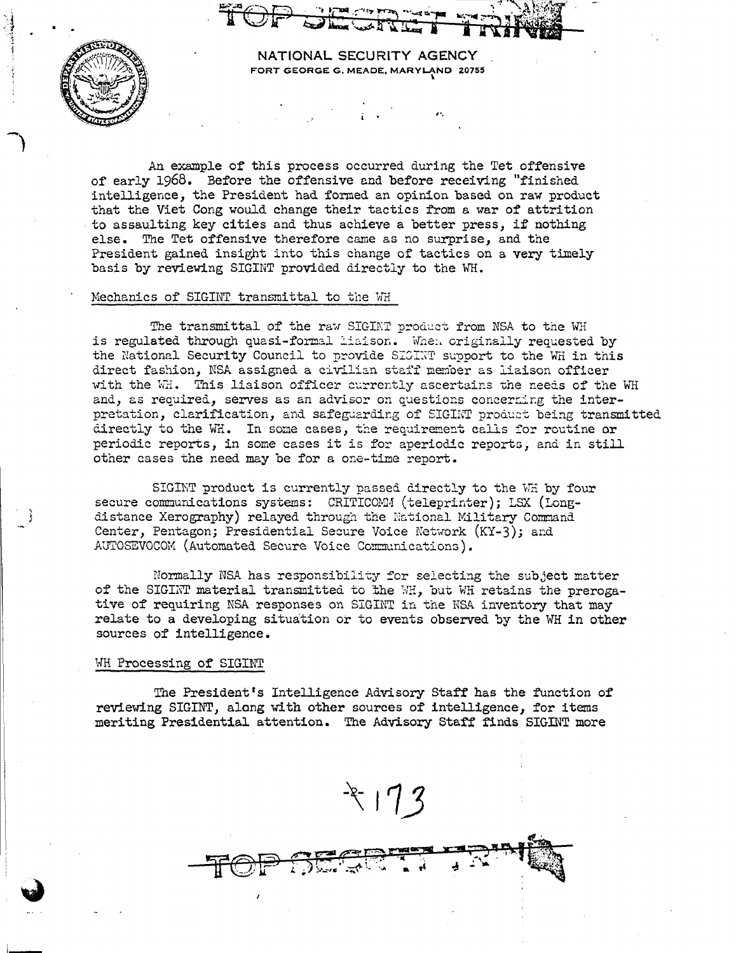

NATIONAL SECURITY AGENCY FORT GEORGE G. MEADE, MARYLAND 20755

An example of this process occurred during the Tet offensive of early 1968. Before the offensive and before receiving "finished intelligence, the President had formed an opinion based on raw product that the Viet Cong would change their tactics from a war of attrition to assaulting key cities and thus achieve a better press, if nothing else. The Tet offensive therefore came as no surprise, and the President gained insight into this change of tactics on a very timely basis by reviewing SIGINT provided directly to the WH.

# Mechanics of SIGINT transmittal to the WH

The transmittal of the raw SIGINT product from NSA to the WH is regulated through quasi-formal liaison. When criginally requested by the National Security Council to provide SIGINT support to the WH in this direct fashion, NSA assigned a civilian staff member as liaison officer with the WH. This liaison officer currently ascertains the needs of the WH and, as required, serves as an advisor on questions concerning the interpretation, clarification, and safeguarding of SIGINT product being transmitted directly to the WH. In some cases, the requirement calls for routine or periodic reports, in some cases it is for aperiodic reports, and in still other cases the need may be for a one-time report.

SIGINT product is currently passed directly to the WH by four secure communications systems: CRITICOMM (teleprinter); LSX (Longdistance Xerography) relayed through the National Military Command Center, Pentagon; Presidential Secure Voice Network (KY-3); and AUTOSEVOCOM (Automated Secure Voice Communications).

Normally NSA has responsibility for selecting the subject matter of the SIGINT material transmitted to the WH, but WH retains the prerogative of requiring NSA responses on SIGINT in the NSA inventory that may relate to a developing situation or to events observed by the WH in other sources of intelligence.

#### WH Processing of SIGINT

The President's Intelligence Advisory Staff has the function of reviewing SIGINT, along with other sources of intelligence, for items meriting Presidential attention. The Advisory Staff finds SIGINT more

 $3$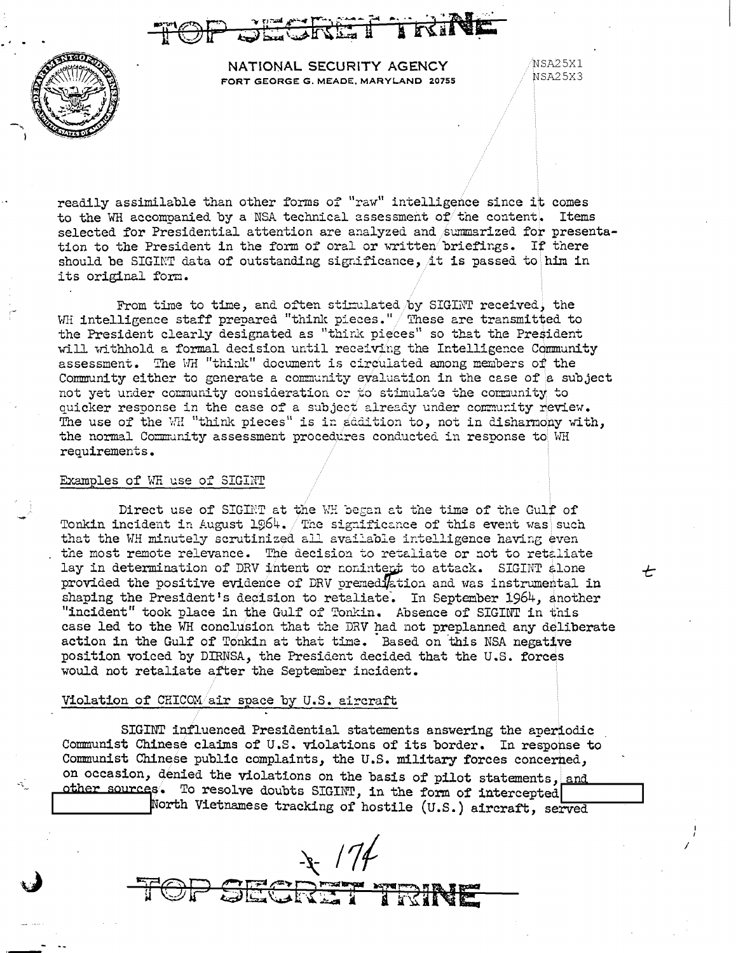



NATIONAL SECURITY AGENCY FORT GEORGE G. MEADE, MARYLAND 20755 NSA25X1 NSA25X3

セ

readily assimilable than other forms of "raw" intelligence since it comes to the WH accompanied by a NSA technical assessment of the content. Items selected for Presidential attention are analyzed and summarized for presentation to the President in the form of oral or written briefings. If there should be SIGINT data of outstanding significance, it is passed to him in its original form.

From time to time, and often stimulated by SIGINT received, the WH intelligence staff prepared "think pieces." These are transmitted to the President clearly designated as "think pieces" so that the President will withhold a formal decision until receiving the Intelligence Community assessment. The WH "think" document is circulated among members of the Community either to generate a community evaluation in the case of a subject not yet under community consideration or to stimulate the community to quicker response in the case of a subject already under community review. The use of the WH "think pieces" is in addition to, not in disharmony with, the normal Community assessment procedures conducted in response to WH requirements.

## Examples of WH use of SIGINT

Direct use of SIGINT at the WH began at the time of the Gulf of Tonkin incident in August 1964. The significance of this event was such that the WH minutely scrutinized all available intelligence having even the most remote relevance. The decision to retaliate or not to retaliate lay in determination of DRV intent or nonintert to attack. SIGINT alone provided the positive evidence of DRV premediation and was instrumental in shaping the President's decision to retaliate. In September 1964, another "incident" took place in the Gulf of Tonkin. Absence of SIGINT in this case led to the WH conclusion that the DRV had not preplanned any deliberate action in the Gulf of Tonkin at that time. Based on this NSA negative position voiced by DIRNSA, the President decided that the U.S. forces would not retaliate after the September incident.

### Violation of CHICOM/air space by U.S. aircraft

SIGINT influenced Presidential statements answering the aperiodic Communist Chinese claims of U.S. violations of its border. In response to Communist Chinese public complaints, the U.S. military forces concerned, on occasion, denied the violations on the basis of pilot statements, and other sources. To resolve doubts SIGINT, in the form of intercepted North Vietnamese tracking of hostile (U.S.) aircraft, served

 $\frac{1}{2}$  /74

STAR I BR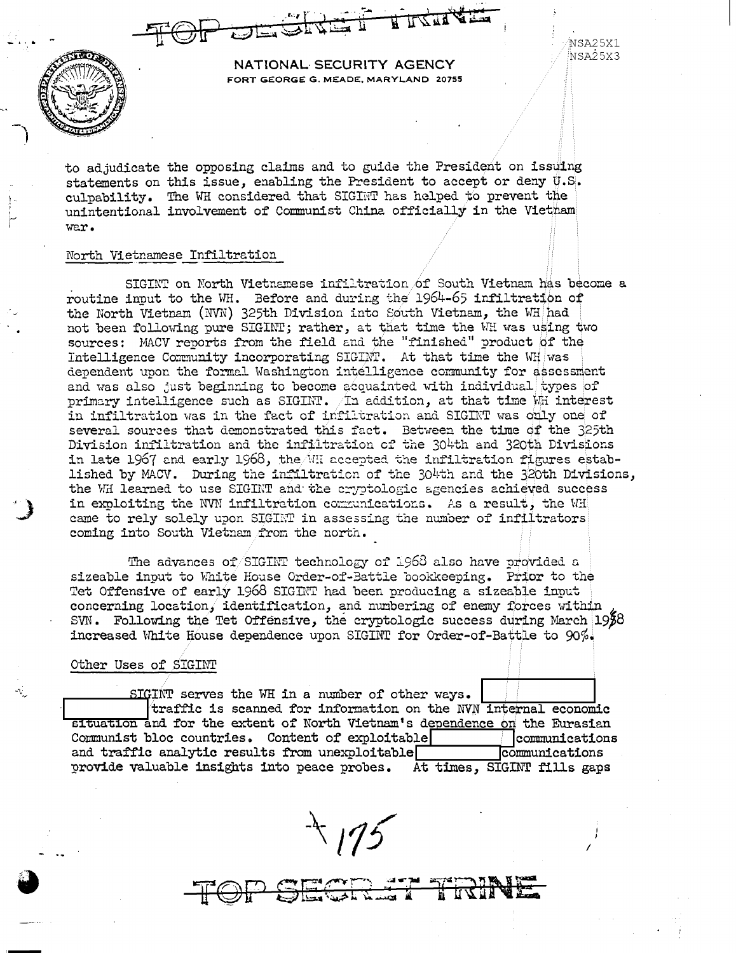NSA25X1 NSA25X3



NATIONAL SECURITY AGENCY FORT GEORGE G. MEADE, MARYLAND 20755

to adjudicate the opposing claims and to guide the President on issuing statements on this issue, enabling the President to accept or deny U.S. culpability. The WH considered that SIGINT has helped to prevent the unintentional involvement of Communist China officially in the Vietnam war.

# North Vietnamese Infiltration

SIGINT on North Vietnamese infiltration of South Vietnam has become a routine input to the WH. Before and during the 1964-65 infiltration of the North Vietnam (NVN) 325th Division into South Vietnam, the WH had not been following pure SIGINT; rather, at that time the WH was using two sources: MACV reports from the field and the "finished" product of the Intelligence Community incorporating SIGINT. At that time the WH was dependent upon the formal Washington intelligence community for assessment and was also just beginning to become acquainted with individual types of primary intelligence such as SIGINT.  $/$ In addition, at that time  $V$ h interest in infiltration was in the fact of infiltration and SIGINT was only one of several sources that demonstrated this fact. Between the time of the 325th Division inflitration and the inflitration of the 304th and 320th Divisions in late 1967 and early 1968, the MH accepted the infiltration figures established by MACV. During the infiltration of the  $304$ th and the  $320$ th Divisions, the WH learned to use SIGINT and the eryptologic agencies achieved success in exploiting the NVN infiltration communications. As a result, the WH came to rely solely upon SIGINT in assessing the number of infiltrators coming into South Vietnam from the north.

The advances of SIGINT technology of 1968 also have provided a sizeable input to White House Order-of-Battle bookkeeping. Prior to the Tet Offensive of early 1968 SIGINT had been producing a sizeable input concerning location, identification, and numbering of enemy forces within SVN. Following the Tet Offensive, the cryptologic success during March  $19\overline{2}8$ increased White House dependence upon SIGINT for Order-of-Battle to 90%.

#### Other Uses of SIGINT

SIGINT serves the WH in a number of other ways. traffic is scanned for information on the NVN internal economic situation and for the extent of North Vietnam's dependence on the Eurasian | communications Communist bloc countries. Content of exploitable and traffic analytic results from unexploitable communications provide valuable insights into peace probes. At times, SIGINT fills gaps